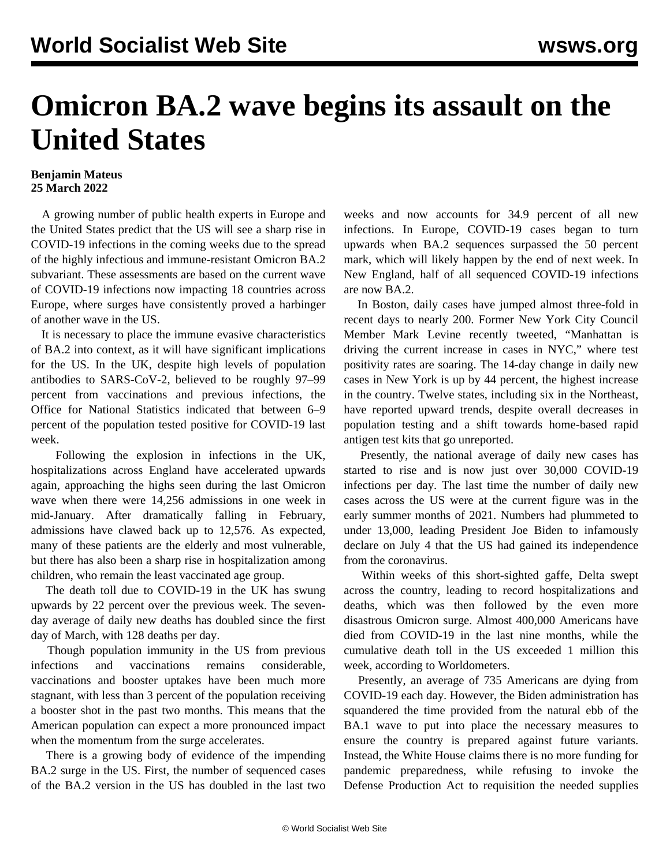## **Omicron BA.2 wave begins its assault on the United States**

## **Benjamin Mateus 25 March 2022**

 A growing number of public health experts in Europe and the United States predict that the US will see a sharp rise in COVID-19 infections in the coming weeks due to the spread of the highly infectious and immune-resistant Omicron BA.2 subvariant. These assessments are based on the current wave of COVID-19 infections now impacting 18 countries across Europe, where surges have consistently proved a harbinger of another wave in the US.

 It is necessary to place the immune evasive characteristics of BA.2 into context, as it will have significant implications for the US. In the UK, despite high levels of population antibodies to SARS-CoV-2, believed to be roughly 97–99 percent from vaccinations and previous infections, the Office for National Statistics indicated that between 6–9 percent of the population tested positive for COVID-19 last week.

 Following the explosion in infections in the UK, hospitalizations across England have accelerated upwards again, approaching the highs seen during the last Omicron wave when there were 14,256 admissions in one week in mid-January. After dramatically falling in February, admissions have clawed back up to 12,576. As expected, many of these patients are the elderly and most vulnerable, but there has also been a sharp rise in hospitalization among children, who remain the least vaccinated age group.

 The death toll due to COVID-19 in the UK has swung upwards by 22 percent over the previous week. The sevenday average of daily new deaths has doubled since the first day of March, with 128 deaths per day.

 Though population immunity in the US from previous infections and vaccinations remains considerable, vaccinations and booster uptakes have been much more stagnant, with less than 3 percent of the population receiving a booster shot in the past two months. This means that the American population can expect a more pronounced impact when the momentum from the surge accelerates.

 There is a growing body of evidence of the impending BA.2 surge in the US. First, the number of sequenced cases of the BA.2 version in the US has doubled in the last two weeks and now accounts for 34.9 percent of all new infections. In Europe, COVID-19 cases began to turn upwards when BA.2 sequences surpassed the 50 percent mark, which will likely happen by the end of next week. In New England, half of all sequenced COVID-19 infections are now BA.2.

 In Boston, daily cases have jumped almost three-fold in recent days to nearly 200. Former New York City Council Member Mark Levine recently tweeted, "Manhattan is driving the current increase in cases in NYC," where test positivity rates are soaring. The 14-day change in daily new cases in New York is up by 44 percent, the highest increase in the country. Twelve states, including six in the Northeast, have reported upward trends, despite overall decreases in population testing and a shift towards home-based rapid antigen test kits that go unreported.

 Presently, the national average of daily new cases has started to rise and is now just over 30,000 COVID-19 infections per day. The last time the number of daily new cases across the US were at the current figure was in the early summer months of 2021. Numbers had plummeted to under 13,000, leading President Joe Biden to infamously declare on July 4 that the US had gained its independence from the coronavirus.

 Within weeks of this short-sighted gaffe, Delta swept across the country, leading to record hospitalizations and deaths, which was then followed by the even more disastrous Omicron surge. Almost 400,000 Americans have died from COVID-19 in the last nine months, while the cumulative death toll in the US exceeded 1 million this week, according to Worldometers.

 Presently, an average of 735 Americans are dying from COVID-19 each day. However, the Biden administration has squandered the time provided from the natural ebb of the BA.1 wave to put into place the necessary measures to ensure the country is prepared against future variants. Instead, the White House claims there is no more funding for pandemic preparedness, while refusing to invoke the Defense Production Act to requisition the needed supplies